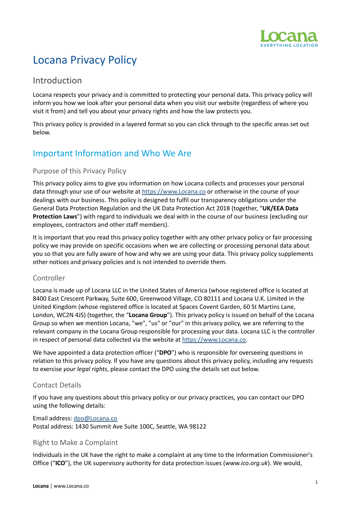

# Locana Privacy Policy

## Introduction

Locana respects your privacy and is committed to protecting your personal data. This privacy policy will inform you how we look after your personal data when you visit our website (regardless of where you visit it from) and tell you about your privacy rights and how the law protects you.

This privacy policy is provided in a layered format so you can click through to the specific areas set out below.

## Important Information and Who We Are

### Purpose of this Privacy Policy

This privacy policy aims to give you information on how Locana collects and processes your personal data through your use of our website at [https://www.Locana.co](https://www.locana.co) or otherwise in the course of your dealings with our business. This policy is designed to fulfil our transparency obligations under the General Data Protection Regulation and the UK Data Protection Act 2018 (together, "**UK/EEA Data Protection Laws**") with regard to individuals we deal with in the course of our business (excluding our employees, contractors and other staff members).

It is important that you read this privacy policy together with any other privacy policy or fair processing policy we may provide on specific occasions when we are collecting or processing personal data about you so that you are fully aware of how and why we are using your data. This privacy policy supplements other notices and privacy policies and is not intended to override them.

### Controller

Locana is made up of Locana LLC in the United States of America (whose registered office is located at 8400 East Crescent Parkway, Suite 600, Greenwood Village, CO 80111 and Locana U.K. Limited in the United Kingdom (whose registered office is located at Spaces Covent Garden, 60 St Martins Lane, London, WC2N 4JS) (together, the "**Locana Group**"). This privacy policy is issued on behalf of the Locana Group so when we mention Locana, "we", "us" or "our" in this privacy policy, we are referring to the relevant company in the Locana Group responsible for processing your data. Locana LLC is the controller in respect of personal data collected via the website at [https://www.Locana.co.](https://www.locana.co)

We have appointed a data protection officer ("DPO") who is responsible for overseeing questions in relation to this privacy policy. If you have any questions about this privacy policy, including any requests to exercise *your legal rights*, please contact the DPO using the details set out below.

### Contact Details

If you have any questions about this privacy policy or our privacy practices, you can contact our DPO using the following details:

Email address: [dpo@Locana.co](mailto:info@locana.co) Postal address: 1430 Summit Ave Suite 100C, Seattle, WA 98122

### Right to Make a Complaint

Individuals in the UK have the right to make a complaint at any time to the Information Commissioner's Office ("**ICO**"), the UK supervisory authority for data protection issues (*www.ico.org.uk*). We would,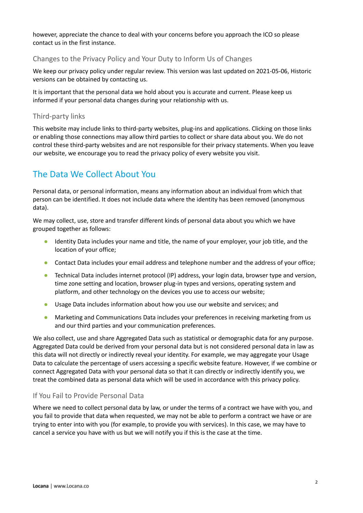however, appreciate the chance to deal with your concerns before you approach the ICO so please contact us in the first instance.

### Changes to the Privacy Policy and Your Duty to Inform Us of Changes

We keep our privacy policy under regular review. This version was last updated on 2021-05-06, Historic versions can be obtained by contacting us.

It is important that the personal data we hold about you is accurate and current. Please keep us informed if your personal data changes during your relationship with us.

### Third-party links

This website may include links to third-party websites, plug-ins and applications. Clicking on those links or enabling those connections may allow third parties to collect or share data about you. We do not control these third-party websites and are not responsible for their privacy statements. When you leave our website, we encourage you to read the privacy policy of every website you visit.

## The Data We Collect About You

Personal data, or personal information, means any information about an individual from which that person can be identified. It does not include data where the identity has been removed (anonymous data).

We may collect, use, store and transfer different kinds of personal data about you which we have grouped together as follows:

- Identity Data includes your name and title, the name of your employer, your job title, and the location of your office;
- Contact Data includes your email address and telephone number and the address of your office;
- Technical Data includes internet protocol (IP) address, your login data, browser type and version, time zone setting and location, browser plug-in types and versions, operating system and platform, and other technology on the devices you use to access our website;
- Usage Data includes information about how you use our website and services; and
- Marketing and Communications Data includes your preferences in receiving marketing from us and our third parties and your communication preferences.

We also collect, use and share Aggregated Data such as statistical or demographic data for any purpose. Aggregated Data could be derived from your personal data but is not considered personal data in law as this data will not directly or indirectly reveal your identity. For example, we may aggregate your Usage Data to calculate the percentage of users accessing a specific website feature. However, if we combine or connect Aggregated Data with your personal data so that it can directly or indirectly identify you, we treat the combined data as personal data which will be used in accordance with this privacy policy.

### If You Fail to Provide Personal Data

Where we need to collect personal data by law, or under the terms of a contract we have with you, and you fail to provide that data when requested, we may not be able to perform a contract we have or are trying to enter into with you (for example, to provide you with services). In this case, we may have to cancel a service you have with us but we will notify you if this is the case at the time.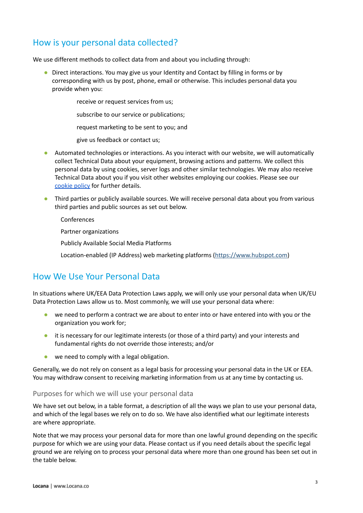## How is your personal data collected?

We use different methods to collect data from and about you including through:

- Direct interactions. You may give us your Identity and Contact by filling in forms or by corresponding with us by post, phone, email or otherwise. This includes personal data you provide when you:
	- receive or request services from us;
	- subscribe to our service or publications;
	- request marketing to be sent to you; and
	- give us feedback or contact us;
- Automated technologies or interactions. As you interact with our website, we will automatically collect Technical Data about your equipment, browsing actions and patterns. We collect this personal data by using cookies, server logs and other similar technologies. We may also receive Technical Data about you if you visit other websites employing our cookies. Please see our [cookie](https://www.locana.co/cookie-policy/) policy for further details.
- Third parties or publicly available sources. We will receive personal data about you from various third parties and public sources as set out below.
	- Conferences
	- Partner organizations
	- Publicly Available Social Media Platforms
	- Location-enabled (IP Address) web marketing platforms [\(https://www.hubspot.com\)](https://www.hubspot.com)

## How We Use Your Personal Data

In situations where UK/EEA Data Protection Laws apply, we will only use your personal data when UK/EU Data Protection Laws allow us to. Most commonly, we will use your personal data where:

- we need to perform a contract we are about to enter into or have entered into with you or the organization you work for;
- it is necessary for our legitimate interests (or those of a third party) and your interests and fundamental rights do not override those interests; and/or
- we need to comply with a legal obligation.

Generally, we do not rely on consent as a legal basis for processing your personal data in the UK or EEA. You may withdraw consent to receiving marketing information from us at any time by contacting us.

### Purposes for which we will use your personal data

We have set out below, in a table format, a description of all the ways we plan to use your personal data, and which of the legal bases we rely on to do so. We have also identified what our legitimate interests are where appropriate.

Note that we may process your personal data for more than one lawful ground depending on the specific purpose for which we are using your data. Please contact us if you need details about the specific legal ground we are relying on to process your personal data where more than one ground has been set out in the table below.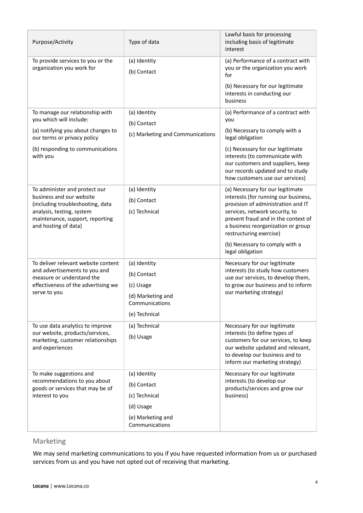| Purpose/Activity                                                                                                                                                                      | Type of data                                                                                     | Lawful basis for processing<br>including basis of legitimate<br>interest                                                                                                                                                                                                                                       |
|---------------------------------------------------------------------------------------------------------------------------------------------------------------------------------------|--------------------------------------------------------------------------------------------------|----------------------------------------------------------------------------------------------------------------------------------------------------------------------------------------------------------------------------------------------------------------------------------------------------------------|
| To provide services to you or the<br>organization you work for                                                                                                                        | (a) Identity<br>(b) Contact                                                                      | (a) Performance of a contract with<br>you or the organization you work<br>for<br>(b) Necessary for our legitimate<br>interests in conducting our<br>business                                                                                                                                                   |
| To manage our relationship with<br>you which will include:<br>(a) notifying you about changes to<br>our terms or privacy policy                                                       | (a) Identity<br>(b) Contact<br>(c) Marketing and Communications                                  | (a) Performance of a contract with<br>you<br>(b) Necessary to comply with a<br>legal obligation                                                                                                                                                                                                                |
| (b) responding to communications<br>with you                                                                                                                                          |                                                                                                  | (c) Necessary for our legitimate<br>interests (to communicate with<br>our customers and suppliers, keep<br>our records updated and to study<br>how customers use our services)                                                                                                                                 |
| To administer and protect our<br>business and our website<br>(including troubleshooting, data<br>analysis, testing, system<br>maintenance, support, reporting<br>and hosting of data) | (a) Identity<br>(b) Contact<br>(c) Technical                                                     | (a) Necessary for our legitimate<br>interests (for running our business,<br>provision of administration and IT<br>services, network security, to<br>prevent fraud and in the context of<br>a business reorganization or group<br>restructuring exercise)<br>(b) Necessary to comply with a<br>legal obligation |
| To deliver relevant website content<br>and advertisements to you and<br>measure or understand the<br>effectiveness of the advertising we<br>serve to you                              | (a) Identity<br>(b) Contact<br>(c) Usage<br>(d) Marketing and<br>Communications<br>(e) Technical | Necessary for our legitimate<br>interests (to study how customers<br>use our services, to develop them,<br>to grow our business and to inform<br>our marketing strategy)                                                                                                                                       |
| To use data analytics to improve<br>our website, products/services,<br>marketing, customer relationships<br>and experiences                                                           | (a) Technical<br>(b) Usage                                                                       | Necessary for our legitimate<br>interests (to define types of<br>customers for our services, to keep<br>our website updated and relevant,<br>to develop our business and to<br>inform our marketing strategy)                                                                                                  |
| To make suggestions and<br>recommendations to you about<br>goods or services that may be of<br>interest to you                                                                        | (a) Identity<br>(b) Contact<br>(c) Technical<br>(d) Usage<br>(e) Marketing and<br>Communications | Necessary for our legitimate<br>interests (to develop our<br>products/services and grow our<br>business)                                                                                                                                                                                                       |

### Marketing

We may send marketing communications to you if you have requested information from us or purchased services from us and you have not opted out of receiving that marketing.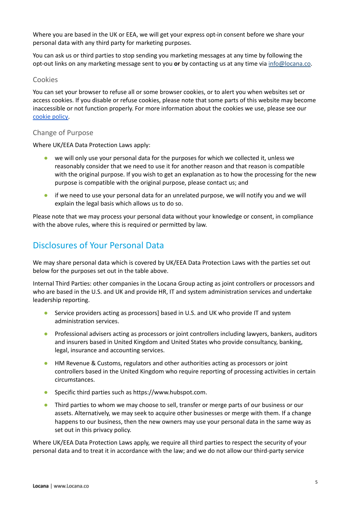Where you are based in the UK or EEA, we will get your express opt-in consent before we share your personal data with any third party for marketing purposes.

You can ask us or third parties to stop sending you marketing messages at any time by following the opt-out links on any marketing message sent to you **or** by contacting us at any time via [info@locana.co](mailto:info@locana.co).

### Cookies

You can set your browser to refuse all or some browser cookies, or to alert you when websites set or access cookies. If you disable or refuse cookies, please note that some parts of this website may become inaccessible or not function properly. For more information about the cookies we use, please see our [cookie](https://www.locana.co/cookie-policy/) policy.

### Change of Purpose

Where UK/EEA Data Protection Laws apply:

- we will only use your personal data for the purposes for which we collected it, unless we reasonably consider that we need to use it for another reason and that reason is compatible with the original purpose. If you wish to get an explanation as to how the processing for the new purpose is compatible with the original purpose, please contact us; and
- if we need to use your personal data for an unrelated purpose, we will notify you and we will explain the legal basis which allows us to do so.

Please note that we may process your personal data without your knowledge or consent, in compliance with the above rules, where this is required or permitted by law.

## Disclosures of Your Personal Data

We may share personal data which is covered by UK/EEA Data Protection Laws with the parties set out below for the purposes set out in the table above.

Internal Third Parties: other companies in the Locana Group acting as joint controllers or processors and who are based in the U.S. and UK and provide HR, IT and system administration services and undertake leadership reporting.

- Service providers acting as processors] based in U.S. and UK who provide IT and system administration services.
- Professional advisers acting as processors or joint controllers including lawyers, bankers, auditors and insurers based in United Kingdom and United States who provide consultancy, banking, legal, insurance and accounting services.
- HM Revenue & Customs, regulators and other authorities acting as processors or joint controllers based in the United Kingdom who require reporting of processing activities in certain circumstances.
- Specific third parties such as https://www.hubspot.com.
- **•** Third parties to whom we may choose to sell, transfer or merge parts of our business or our assets. Alternatively, we may seek to acquire other businesses or merge with them. If a change happens to our business, then the new owners may use your personal data in the same way as set out in this privacy policy.

Where UK/EEA Data Protection Laws apply, we require all third parties to respect the security of your personal data and to treat it in accordance with the law; and we do not allow our third-party service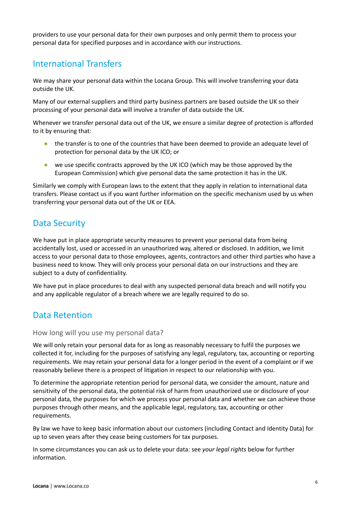providers to use your personal data for their own purposes and only permit them to process your personal data for specified purposes and in accordance with our instructions.

## International Transfers

We may share your personal data within the Locana Group. This will involve transferring your data outside the UK.

Many of our external suppliers and third party business partners are based outside the UK so their processing of your personal data will involve a transfer of data outside the UK.

Whenever we transfer personal data out of the UK, we ensure a similar degree of protection is afforded to it by ensuring that:

- the transfer is to one of the countries that have been deemed to provide an adequate level of protection for personal data by the UK ICO; or
- we use specific contracts approved by the UK ICO (which may be those approved by the European Commission) which give personal data the same protection it has in the UK.

Similarly we comply with European laws to the extent that they apply in relation to international data transfers. Please contact us if you want further information on the specific mechanism used by us when transferring your personal data out of the UK or EEA.

## Data Security

We have put in place appropriate security measures to prevent your personal data from being accidentally lost, used or accessed in an unauthorized way, altered or disclosed. In addition, we limit access to your personal data to those employees, agents, contractors and other third parties who have a business need to know. They will only process your personal data on our instructions and they are subject to a duty of confidentiality.

We have put in place procedures to deal with any suspected personal data breach and will notify you and any applicable regulator of a breach where we are legally required to do so.

## Data Retention

How long will you use my personal data?

We will only retain your personal data for as long as reasonably necessary to fulfil the purposes we collected it for, including for the purposes of satisfying any legal, regulatory, tax, accounting or reporting requirements. We may retain your personal data for a longer period in the event of a complaint or if we reasonably believe there is a prospect of litigation in respect to our relationship with you.

To determine the appropriate retention period for personal data, we consider the amount, nature and sensitivity of the personal data, the potential risk of harm from unauthorized use or disclosure of your personal data, the purposes for which we process your personal data and whether we can achieve those purposes through other means, and the applicable legal, regulatory, tax, accounting or other requirements.

By law we have to keep basic information about our customers (including Contact and Identity Data) for up to seven years after they cease being customers for tax purposes.

In some circumstances you can ask us to delete your data: see *your legal rights* below for further information.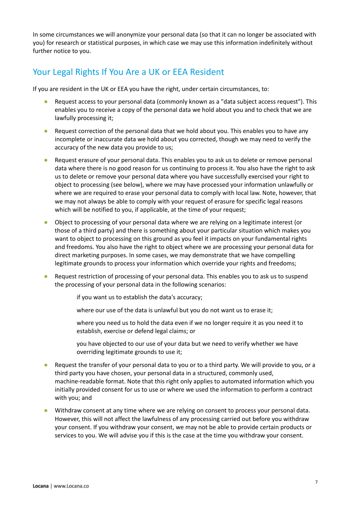In some circumstances we will anonymize your personal data (so that it can no longer be associated with you) for research or statistical purposes, in which case we may use this information indefinitely without further notice to you.

## Your Legal Rights If You Are a UK or EEA Resident

If you are resident in the UK or EEA you have the right, under certain circumstances, to:

- Request access to your personal data (commonly known as a "data subject access request"). This enables you to receive a copy of the personal data we hold about you and to check that we are lawfully processing it;
- Request correction of the personal data that we hold about you. This enables you to have any incomplete or inaccurate data we hold about you corrected, though we may need to verify the accuracy of the new data you provide to us;
- Request erasure of your personal data. This enables you to ask us to delete or remove personal data where there is no good reason for us continuing to process it. You also have the right to ask us to delete or remove your personal data where you have successfully exercised your right to object to processing (see below), where we may have processed your information unlawfully or where we are required to erase your personal data to comply with local law. Note, however, that we may not always be able to comply with your request of erasure for specific legal reasons which will be notified to you, if applicable, at the time of your request;
- Object to processing of your personal data where we are relying on a legitimate interest (or those of a third party) and there is something about your particular situation which makes you want to object to processing on this ground as you feel it impacts on your fundamental rights and freedoms. You also have the right to object where we are processing your personal data for direct marketing purposes. In some cases, we may demonstrate that we have compelling legitimate grounds to process your information which override your rights and freedoms;
- Request restriction of processing of your personal data. This enables you to ask us to suspend the processing of your personal data in the following scenarios:
	- if you want us to establish the data's accuracy;
	- where our use of the data is unlawful but you do not want us to erase it;
	- where you need us to hold the data even if we no longer require it as you need it to establish, exercise or defend legal claims; or
	- you have objected to our use of your data but we need to verify whether we have overriding legitimate grounds to use it;
- Request the transfer of your personal data to you or to a third party. We will provide to you, or a third party you have chosen, your personal data in a structured, commonly used, machine-readable format. Note that this right only applies to automated information which you initially provided consent for us to use or where we used the information to perform a contract with you; and
- Withdraw consent at any time where we are relying on consent to process your personal data. However, this will not affect the lawfulness of any processing carried out before you withdraw your consent. If you withdraw your consent, we may not be able to provide certain products or services to you. We will advise you if this is the case at the time you withdraw your consent.